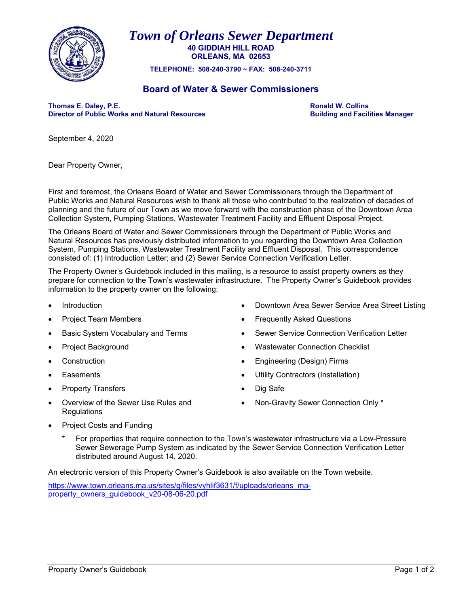

*Town of Orleans Sewer Department* **40 GIDDIAH HILL ROAD ORLEANS, MA 02653** 

**TELEPHONE: 508-240-3790 ~ FAX: 508-240-3711** 

## **Board of Water & Sewer Commissioners**

Thomas E. Daley, P.E. **Thomas E. Daley, P.E.**<br>
Director of Public Works and Natural Resources **Result and South American Collins** Building and Facilities Manager **Director of Public Works and Natural Resources** 

September 4, 2020

Dear Property Owner,

First and foremost, the Orleans Board of Water and Sewer Commissioners through the Department of Public Works and Natural Resources wish to thank all those who contributed to the realization of decades of planning and the future of our Town as we move forward with the construction phase of the Downtown Area Collection System, Pumping Stations, Wastewater Treatment Facility and Effluent Disposal Project.

The Orleans Board of Water and Sewer Commissioners through the Department of Public Works and Natural Resources has previously distributed information to you regarding the Downtown Area Collection System, Pumping Stations, Wastewater Treatment Facility and Effluent Disposal. This correspondence consisted of: (1) Introduction Letter; and (2) Sewer Service Connection Verification Letter.

The Property Owner's Guidebook included in this mailing, is a resource to assist property owners as they prepare for connection to the Town's wastewater infrastructure. The Property Owner's Guidebook provides information to the property owner on the following:

- Introduction Downtown Area Sewer Service Area Street Listing
- Project Team Members **Example 20** and the Frequently Asked Questions
- Basic System Vocabulary and Terms **Subsetem Service Connection Verification Letter Sexually** Sewer Service Connection Verification Letter
- 
- 
- 
- Property Transfers **Dig Safe** Dig Safe
- Overview of the Sewer Use Rules and **Regulations**
- 
- 
- Project Background **Wastewater Connection Checklist**
- Construction Engineering (Design) Firms
- Easements Utility Contractors (Installation)
	-
	- Non-Gravity Sewer Connection Only \*

- Project Costs and Funding
	- For properties that require connection to the Town's wastewater infrastructure via a Low-Pressure Sewer Sewerage Pump System as indicated by the Sewer Service Connection Verification Letter distributed around August 14, 2020.

An electronic version of this Property Owner's Guidebook is also available on the Town website.

https://www.town.orleans.ma.us/sites/g/files/vyhlif3631/f/uploads/orleans\_maproperty\_owners\_guidebook\_v20-08-06-20.pdf